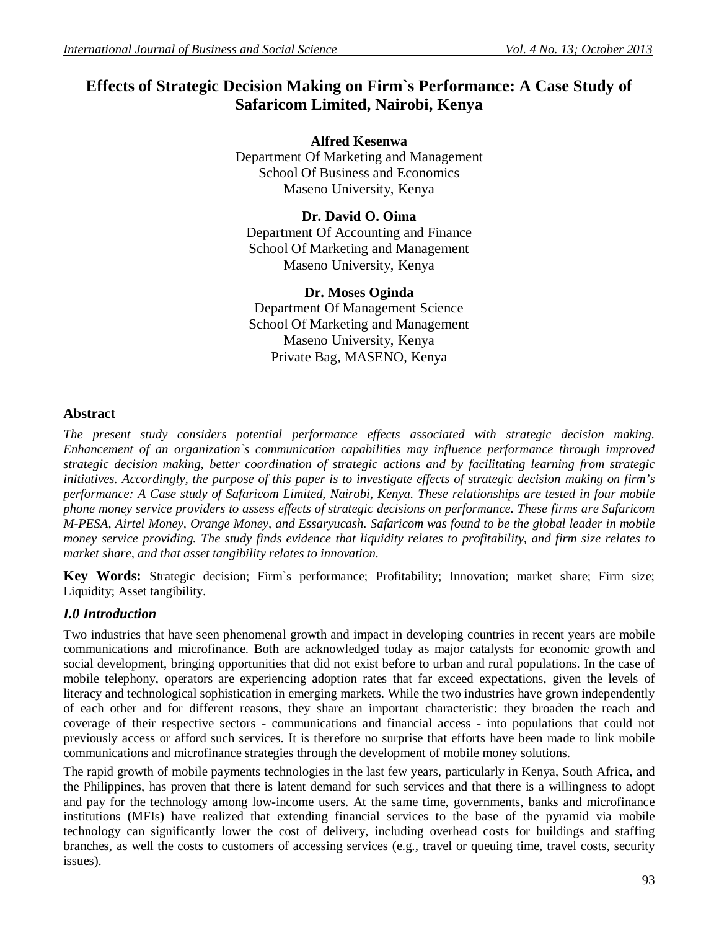# **Effects of Strategic Decision Making on Firm`s Performance: A Case Study of Safaricom Limited, Nairobi, Kenya**

**Alfred Kesenwa** Department Of Marketing and Management School Of Business and Economics Maseno University, Kenya

**Dr. David O. Oima** Department Of Accounting and Finance School Of Marketing and Management Maseno University, Kenya

**Dr. Moses Oginda** Department Of Management Science School Of Marketing and Management Maseno University, Kenya Private Bag, MASENO, Kenya

## **Abstract**

*The present study considers potential performance effects associated with strategic decision making. Enhancement of an organization`s communication capabilities may influence performance through improved strategic decision making, better coordination of strategic actions and by facilitating learning from strategic initiatives. Accordingly, the purpose of this paper is to investigate effects of strategic decision making on firm's performance: A Case study of Safaricom Limited, Nairobi, Kenya. These relationships are tested in four mobile phone money service providers to assess effects of strategic decisions on performance. These firms are Safaricom M-PESA, Airtel Money, Orange Money, and Essaryucash. Safaricom was found to be the global leader in mobile money service providing. The study finds evidence that liquidity relates to profitability, and firm size relates to market share, and that asset tangibility relates to innovation.*

**Key Words:** Strategic decision; Firm`s performance; Profitability; Innovation; market share; Firm size; Liquidity; Asset tangibility.

## *I.0 Introduction*

Two industries that have seen phenomenal growth and impact in developing countries in recent years are mobile communications and microfinance. Both are acknowledged today as major catalysts for economic growth and social development, bringing opportunities that did not exist before to urban and rural populations. In the case of mobile telephony, operators are experiencing adoption rates that far exceed expectations, given the levels of literacy and technological sophistication in emerging markets. While the two industries have grown independently of each other and for different reasons, they share an important characteristic: they broaden the reach and coverage of their respective sectors - communications and financial access - into populations that could not previously access or afford such services. It is therefore no surprise that efforts have been made to link mobile communications and microfinance strategies through the development of mobile money solutions.

The rapid growth of mobile payments technologies in the last few years, particularly in Kenya, South Africa, and the Philippines, has proven that there is latent demand for such services and that there is a willingness to adopt and pay for the technology among low-income users. At the same time, governments, banks and microfinance institutions (MFIs) have realized that extending financial services to the base of the pyramid via mobile technology can significantly lower the cost of delivery, including overhead costs for buildings and staffing branches, as well the costs to customers of accessing services (e.g., travel or queuing time, travel costs, security issues).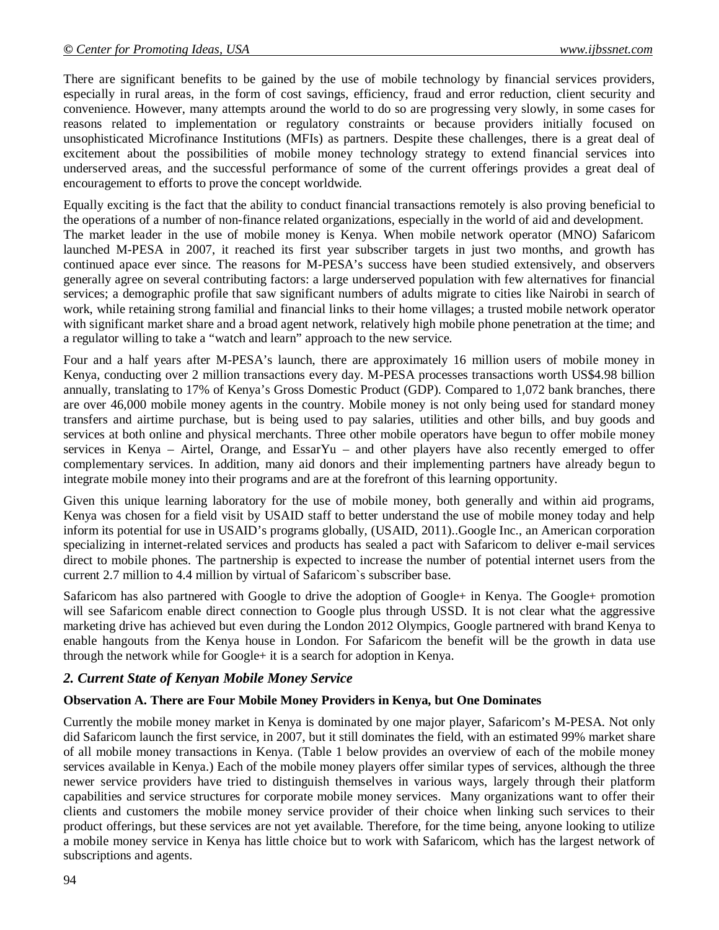There are significant benefits to be gained by the use of mobile technology by financial services providers, especially in rural areas, in the form of cost savings, efficiency, fraud and error reduction, client security and convenience. However, many attempts around the world to do so are progressing very slowly, in some cases for reasons related to implementation or regulatory constraints or because providers initially focused on unsophisticated Microfinance Institutions (MFIs) as partners. Despite these challenges, there is a great deal of excitement about the possibilities of mobile money technology strategy to extend financial services into underserved areas, and the successful performance of some of the current offerings provides a great deal of encouragement to efforts to prove the concept worldwide.

Equally exciting is the fact that the ability to conduct financial transactions remotely is also proving beneficial to the operations of a number of non-finance related organizations, especially in the world of aid and development. The market leader in the use of mobile money is Kenya. When mobile network operator (MNO) Safaricom launched M-PESA in 2007, it reached its first year subscriber targets in just two months, and growth has continued apace ever since. The reasons for M-PESA's success have been studied extensively, and observers generally agree on several contributing factors: a large underserved population with few alternatives for financial services; a demographic profile that saw significant numbers of adults migrate to cities like Nairobi in search of work, while retaining strong familial and financial links to their home villages; a trusted mobile network operator with significant market share and a broad agent network, relatively high mobile phone penetration at the time; and a regulator willing to take a "watch and learn" approach to the new service.

Four and a half years after M-PESA's launch, there are approximately 16 million users of mobile money in Kenya, conducting over 2 million transactions every day. M-PESA processes transactions worth US\$4.98 billion annually, translating to 17% of Kenya's Gross Domestic Product (GDP). Compared to 1,072 bank branches, there are over 46,000 mobile money agents in the country. Mobile money is not only being used for standard money transfers and airtime purchase, but is being used to pay salaries, utilities and other bills, and buy goods and services at both online and physical merchants. Three other mobile operators have begun to offer mobile money services in Kenya – Airtel, Orange, and EssarYu – and other players have also recently emerged to offer complementary services. In addition, many aid donors and their implementing partners have already begun to integrate mobile money into their programs and are at the forefront of this learning opportunity.

Given this unique learning laboratory for the use of mobile money, both generally and within aid programs, Kenya was chosen for a field visit by USAID staff to better understand the use of mobile money today and help inform its potential for use in USAID's programs globally, (USAID, 2011)..Google Inc., an American corporation specializing in internet-related services and products has sealed a pact with Safaricom to deliver e-mail services direct to mobile phones. The partnership is expected to increase the number of potential internet users from the current 2.7 million to 4.4 million by virtual of Safaricom`s subscriber base.

Safaricom has also partnered with Google to drive the adoption of Google+ in Kenya. The Google+ promotion will see Safaricom enable direct connection to Google plus through USSD. It is not clear what the aggressive marketing drive has achieved but even during the London 2012 Olympics, Google partnered with brand Kenya to enable hangouts from the Kenya house in London. For Safaricom the benefit will be the growth in data use through the network while for Google+ it is a search for adoption in Kenya.

## *2. Current State of Kenyan Mobile Money Service*

## **Observation A. There are Four Mobile Money Providers in Kenya, but One Dominates**

Currently the mobile money market in Kenya is dominated by one major player, Safaricom's M-PESA. Not only did Safaricom launch the first service, in 2007, but it still dominates the field, with an estimated 99% market share of all mobile money transactions in Kenya. (Table 1 below provides an overview of each of the mobile money services available in Kenya.) Each of the mobile money players offer similar types of services, although the three newer service providers have tried to distinguish themselves in various ways, largely through their platform capabilities and service structures for corporate mobile money services. Many organizations want to offer their clients and customers the mobile money service provider of their choice when linking such services to their product offerings, but these services are not yet available. Therefore, for the time being, anyone looking to utilize a mobile money service in Kenya has little choice but to work with Safaricom, which has the largest network of subscriptions and agents.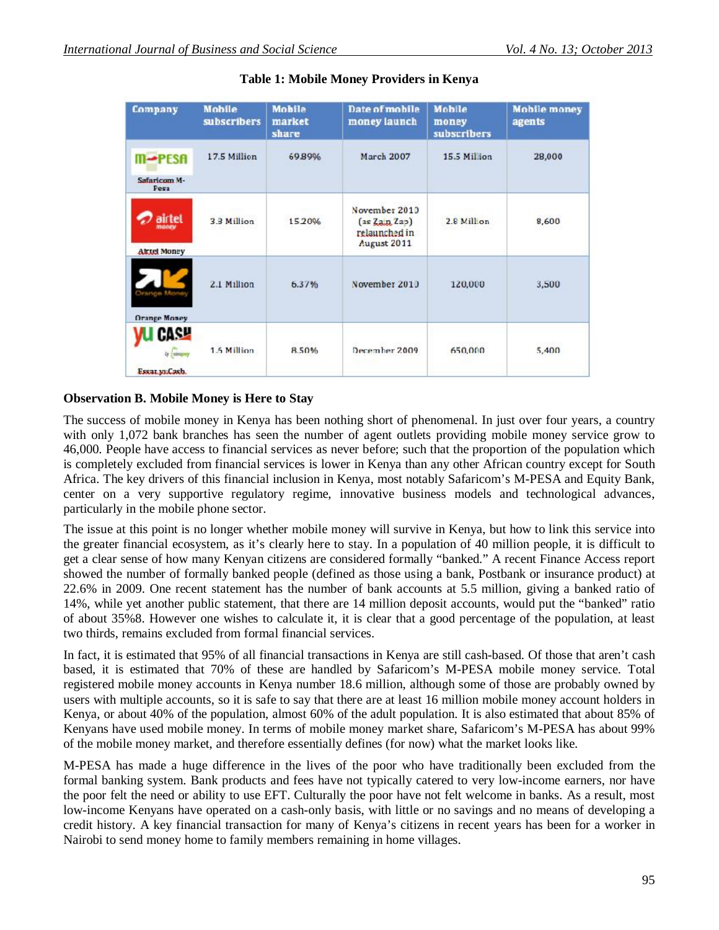| Company                                           | <b>Mobile</b><br><b>subscribers</b> | <b>Mobile</b><br>market<br>share | Date of mobile<br>money launch                                  | Mobile<br>money<br>subscribers | <b>Mobile money</b><br>agents |
|---------------------------------------------------|-------------------------------------|----------------------------------|-----------------------------------------------------------------|--------------------------------|-------------------------------|
| <b>m→PESA</b><br>Safaricom M-<br>Pesa             | 17.5 Million                        | 69.89%                           | March 2007                                                      | 15.5 Million                   | 28,000                        |
| airtet<br>money<br><b>Airtel Money</b>            | 3.3 Million                         | 1520%                            | November 2010<br>$(as Zan Zan)$<br>relaunched in<br>August 2011 | 2.8 Million                    | 8,600                         |
| <b>Dramon Monar</b><br><b>Orange Money</b>        | 2.1 Million                         | 6.37%                            | November 2010                                                   | 120,000                        | 3,500                         |
| <b>CASH</b><br>by <b>usupay</b><br>Essat.yr.Cash. | 1.5 Million                         | 8.50%                            | December 2009                                                   | 650,000                        | 5,400                         |

#### **Table 1: Mobile Money Providers in Kenya**

#### **Observation B. Mobile Money is Here to Stay**

The success of mobile money in Kenya has been nothing short of phenomenal. In just over four years, a country with only 1,072 bank branches has seen the number of agent outlets providing mobile money service grow to 46,000. People have access to financial services as never before; such that the proportion of the population which is completely excluded from financial services is lower in Kenya than any other African country except for South Africa. The key drivers of this financial inclusion in Kenya, most notably Safaricom's M-PESA and Equity Bank, center on a very supportive regulatory regime, innovative business models and technological advances, particularly in the mobile phone sector.

The issue at this point is no longer whether mobile money will survive in Kenya, but how to link this service into the greater financial ecosystem, as it's clearly here to stay. In a population of 40 million people, it is difficult to get a clear sense of how many Kenyan citizens are considered formally "banked." A recent Finance Access report showed the number of formally banked people (defined as those using a bank, Postbank or insurance product) at 22.6% in 2009. One recent statement has the number of bank accounts at 5.5 million, giving a banked ratio of 14%, while yet another public statement, that there are 14 million deposit accounts, would put the "banked" ratio of about 35%8. However one wishes to calculate it, it is clear that a good percentage of the population, at least two thirds, remains excluded from formal financial services.

In fact, it is estimated that 95% of all financial transactions in Kenya are still cash-based. Of those that aren't cash based, it is estimated that 70% of these are handled by Safaricom's M-PESA mobile money service. Total registered mobile money accounts in Kenya number 18.6 million, although some of those are probably owned by users with multiple accounts, so it is safe to say that there are at least 16 million mobile money account holders in Kenya, or about 40% of the population, almost 60% of the adult population. It is also estimated that about 85% of Kenyans have used mobile money. In terms of mobile money market share, Safaricom's M-PESA has about 99% of the mobile money market, and therefore essentially defines (for now) what the market looks like.

M-PESA has made a huge difference in the lives of the poor who have traditionally been excluded from the formal banking system. Bank products and fees have not typically catered to very low-income earners, nor have the poor felt the need or ability to use EFT. Culturally the poor have not felt welcome in banks. As a result, most low-income Kenyans have operated on a cash-only basis, with little or no savings and no means of developing a credit history. A key financial transaction for many of Kenya's citizens in recent years has been for a worker in Nairobi to send money home to family members remaining in home villages.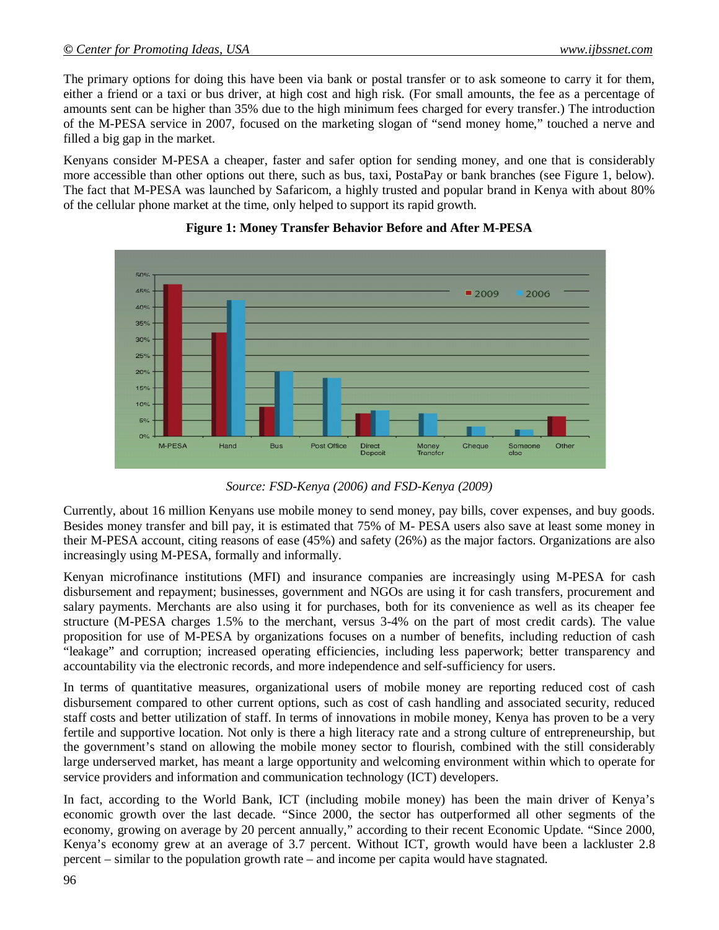The primary options for doing this have been via bank or postal transfer or to ask someone to carry it for them, either a friend or a taxi or bus driver, at high cost and high risk. (For small amounts, the fee as a percentage of amounts sent can be higher than 35% due to the high minimum fees charged for every transfer.) The introduction of the M-PESA service in 2007, focused on the marketing slogan of "send money home," touched a nerve and filled a big gap in the market.

Kenyans consider M-PESA a cheaper, faster and safer option for sending money, and one that is considerably more accessible than other options out there, such as bus, taxi, PostaPay or bank branches (see Figure 1, below). The fact that M-PESA was launched by Safaricom, a highly trusted and popular brand in Kenya with about 80% of the cellular phone market at the time, only helped to support its rapid growth.



#### **Figure 1: Money Transfer Behavior Before and After M-PESA**

*Source: FSD-Kenya (2006) and FSD-Kenya (2009)*

Currently, about 16 million Kenyans use mobile money to send money, pay bills, cover expenses, and buy goods. Besides money transfer and bill pay, it is estimated that 75% of M- PESA users also save at least some money in their M-PESA account, citing reasons of ease (45%) and safety (26%) as the major factors. Organizations are also increasingly using M-PESA, formally and informally.

Kenyan microfinance institutions (MFI) and insurance companies are increasingly using M-PESA for cash disbursement and repayment; businesses, government and NGOs are using it for cash transfers, procurement and salary payments. Merchants are also using it for purchases, both for its convenience as well as its cheaper fee structure (M-PESA charges 1.5% to the merchant, versus 3-4% on the part of most credit cards). The value proposition for use of M-PESA by organizations focuses on a number of benefits, including reduction of cash "leakage" and corruption; increased operating efficiencies, including less paperwork; better transparency and accountability via the electronic records, and more independence and self-sufficiency for users.

In terms of quantitative measures, organizational users of mobile money are reporting reduced cost of cash disbursement compared to other current options, such as cost of cash handling and associated security, reduced staff costs and better utilization of staff. In terms of innovations in mobile money, Kenya has proven to be a very fertile and supportive location. Not only is there a high literacy rate and a strong culture of entrepreneurship, but the government's stand on allowing the mobile money sector to flourish, combined with the still considerably large underserved market, has meant a large opportunity and welcoming environment within which to operate for service providers and information and communication technology (ICT) developers.

In fact, according to the World Bank, ICT (including mobile money) has been the main driver of Kenya's economic growth over the last decade. "Since 2000, the sector has outperformed all other segments of the economy, growing on average by 20 percent annually," according to their recent Economic Update. "Since 2000, Kenya's economy grew at an average of 3.7 percent. Without ICT, growth would have been a lackluster 2.8 percent – similar to the population growth rate – and income per capita would have stagnated.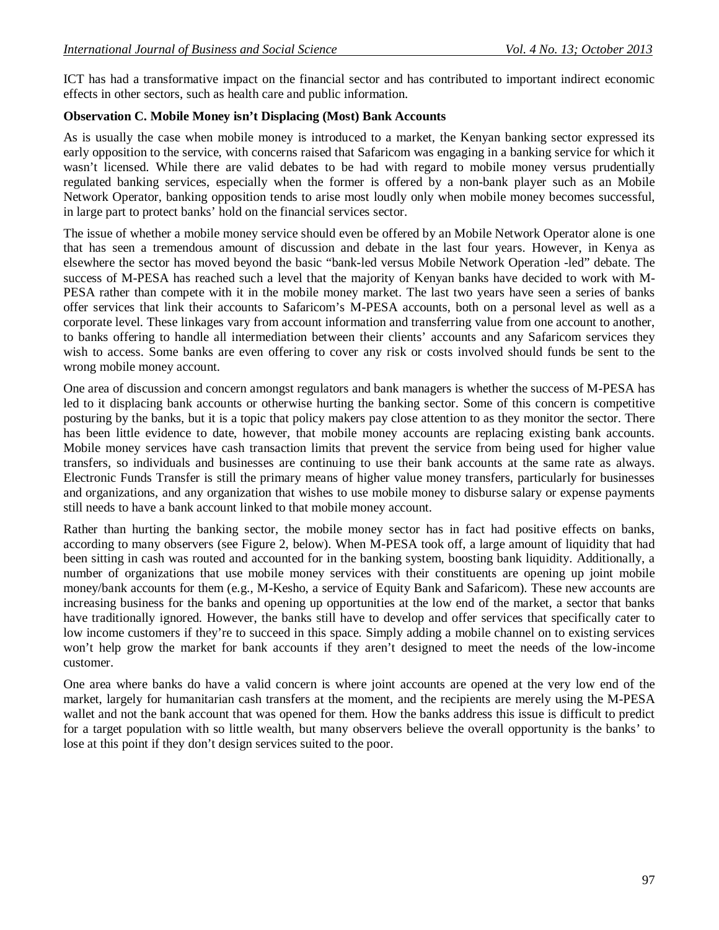ICT has had a transformative impact on the financial sector and has contributed to important indirect economic effects in other sectors, such as health care and public information.

## **Observation C. Mobile Money isn't Displacing (Most) Bank Accounts**

As is usually the case when mobile money is introduced to a market, the Kenyan banking sector expressed its early opposition to the service, with concerns raised that Safaricom was engaging in a banking service for which it wasn't licensed. While there are valid debates to be had with regard to mobile money versus prudentially regulated banking services, especially when the former is offered by a non-bank player such as an Mobile Network Operator, banking opposition tends to arise most loudly only when mobile money becomes successful, in large part to protect banks' hold on the financial services sector.

The issue of whether a mobile money service should even be offered by an Mobile Network Operator alone is one that has seen a tremendous amount of discussion and debate in the last four years. However, in Kenya as elsewhere the sector has moved beyond the basic "bank-led versus Mobile Network Operation -led" debate. The success of M-PESA has reached such a level that the majority of Kenyan banks have decided to work with M-PESA rather than compete with it in the mobile money market. The last two years have seen a series of banks offer services that link their accounts to Safaricom's M-PESA accounts, both on a personal level as well as a corporate level. These linkages vary from account information and transferring value from one account to another, to banks offering to handle all intermediation between their clients' accounts and any Safaricom services they wish to access. Some banks are even offering to cover any risk or costs involved should funds be sent to the wrong mobile money account.

One area of discussion and concern amongst regulators and bank managers is whether the success of M-PESA has led to it displacing bank accounts or otherwise hurting the banking sector. Some of this concern is competitive posturing by the banks, but it is a topic that policy makers pay close attention to as they monitor the sector. There has been little evidence to date, however, that mobile money accounts are replacing existing bank accounts. Mobile money services have cash transaction limits that prevent the service from being used for higher value transfers, so individuals and businesses are continuing to use their bank accounts at the same rate as always. Electronic Funds Transfer is still the primary means of higher value money transfers, particularly for businesses and organizations, and any organization that wishes to use mobile money to disburse salary or expense payments still needs to have a bank account linked to that mobile money account.

Rather than hurting the banking sector, the mobile money sector has in fact had positive effects on banks, according to many observers (see Figure 2, below). When M-PESA took off, a large amount of liquidity that had been sitting in cash was routed and accounted for in the banking system, boosting bank liquidity. Additionally, a number of organizations that use mobile money services with their constituents are opening up joint mobile money/bank accounts for them (e.g., M-Kesho, a service of Equity Bank and Safaricom). These new accounts are increasing business for the banks and opening up opportunities at the low end of the market, a sector that banks have traditionally ignored. However, the banks still have to develop and offer services that specifically cater to low income customers if they're to succeed in this space. Simply adding a mobile channel on to existing services won't help grow the market for bank accounts if they aren't designed to meet the needs of the low-income customer.

One area where banks do have a valid concern is where joint accounts are opened at the very low end of the market, largely for humanitarian cash transfers at the moment, and the recipients are merely using the M-PESA wallet and not the bank account that was opened for them. How the banks address this issue is difficult to predict for a target population with so little wealth, but many observers believe the overall opportunity is the banks' to lose at this point if they don't design services suited to the poor.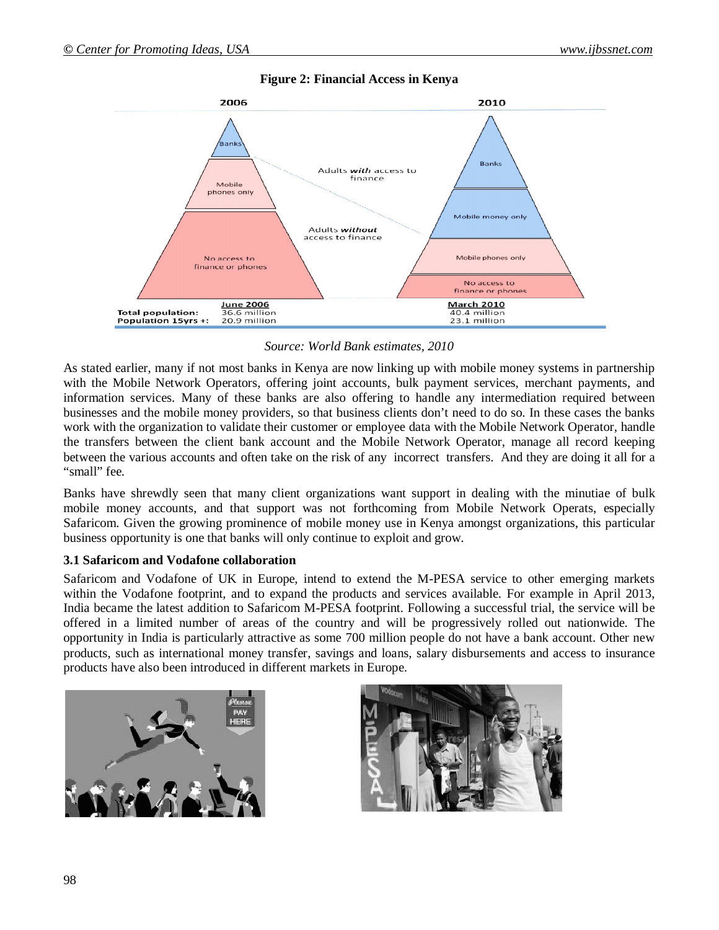

**Figure 2: Financial Access in Kenya**

*Source: World Bank estimates, 2010*

As stated earlier, many if not most banks in Kenya are now linking up with mobile money systems in partnership with the Mobile Network Operators, offering joint accounts, bulk payment services, merchant payments, and information services. Many of these banks are also offering to handle any intermediation required between businesses and the mobile money providers, so that business clients don't need to do so. In these cases the banks work with the organization to validate their customer or employee data with the Mobile Network Operator, handle the transfers between the client bank account and the Mobile Network Operator, manage all record keeping between the various accounts and often take on the risk of any incorrect transfers. And they are doing it all for a "small" fee.

Banks have shrewdly seen that many client organizations want support in dealing with the minutiae of bulk mobile money accounts, and that support was not forthcoming from Mobile Network Operats, especially Safaricom. Given the growing prominence of mobile money use in Kenya amongst organizations, this particular business opportunity is one that banks will only continue to exploit and grow.

#### **3.1 Safaricom and Vodafone collaboration**

Safaricom and Vodafone of UK in Europe, intend to extend the M-PESA service to other emerging markets within the Vodafone footprint, and to expand the products and services available. For example in April 2013, India became the latest addition to Safaricom M-PESA footprint. Following a successful trial, the service will be offered in a limited number of areas of the country and will be progressively rolled out nationwide. The opportunity in India is particularly attractive as some 700 million people do not have a bank account. Other new products, such as international money transfer, savings and loans, salary disbursements and access to insurance products have also been introduced in different markets in Europe.



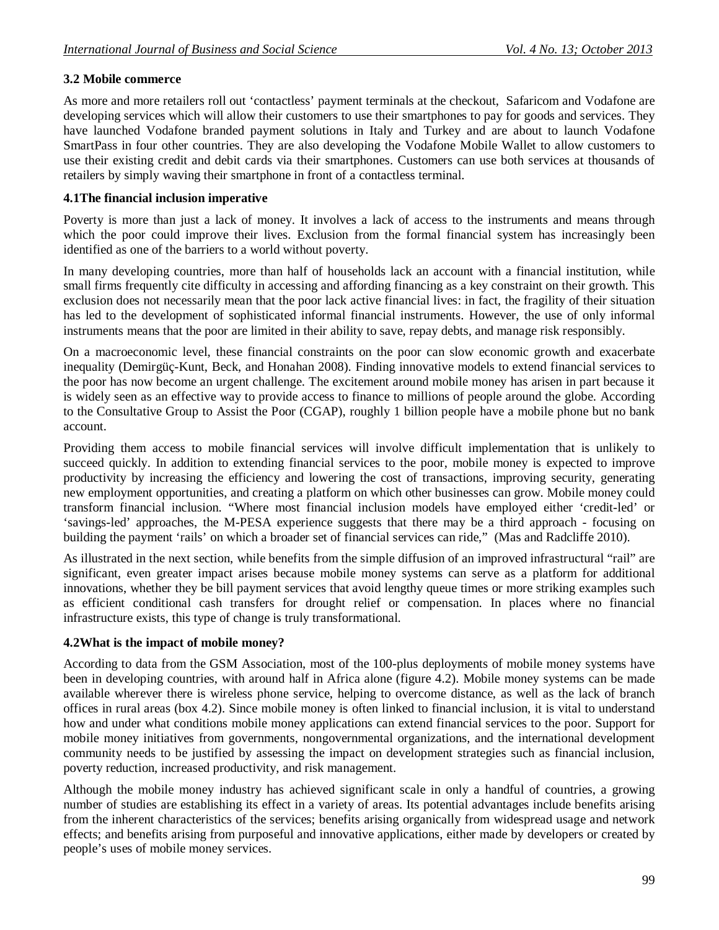#### **3.2 Mobile commerce**

As more and more retailers roll out 'contactless' payment terminals at the checkout, Safaricom and Vodafone are developing services which will allow their customers to use their smartphones to pay for goods and services. They have launched Vodafone branded payment solutions in Italy and Turkey and are about to launch Vodafone SmartPass in four other countries. They are also developing the Vodafone Mobile Wallet to allow customers to use their existing credit and debit cards via their smartphones. Customers can use both services at thousands of retailers by simply waving their smartphone in front of a contactless terminal.

#### **4.1The financial inclusion imperative**

Poverty is more than just a lack of money. It involves a lack of access to the instruments and means through which the poor could improve their lives. Exclusion from the formal financial system has increasingly been identified as one of the barriers to a world without poverty.

In many developing countries, more than half of households lack an account with a financial institution, while small firms frequently cite difficulty in accessing and affording financing as a key constraint on their growth. This exclusion does not necessarily mean that the poor lack active financial lives: in fact, the fragility of their situation has led to the development of sophisticated informal financial instruments. However, the use of only informal instruments means that the poor are limited in their ability to save, repay debts, and manage risk responsibly.

On a macroeconomic level, these financial constraints on the poor can slow economic growth and exacerbate inequality (Demirgüç-Kunt, Beck, and Honahan 2008). Finding innovative models to extend financial services to the poor has now become an urgent challenge. The excitement around mobile money has arisen in part because it is widely seen as an effective way to provide access to finance to millions of people around the globe. According to the Consultative Group to Assist the Poor (CGAP), roughly 1 billion people have a mobile phone but no bank account.

Providing them access to mobile financial services will involve difficult implementation that is unlikely to succeed quickly. In addition to extending financial services to the poor, mobile money is expected to improve productivity by increasing the efficiency and lowering the cost of transactions, improving security, generating new employment opportunities, and creating a platform on which other businesses can grow. Mobile money could transform financial inclusion. "Where most financial inclusion models have employed either 'credit-led' or 'savings-led' approaches, the M-PESA experience suggests that there may be a third approach - focusing on building the payment 'rails' on which a broader set of financial services can ride," (Mas and Radcliffe 2010).

As illustrated in the next section, while benefits from the simple diffusion of an improved infrastructural "rail" are significant, even greater impact arises because mobile money systems can serve as a platform for additional innovations, whether they be bill payment services that avoid lengthy queue times or more striking examples such as efficient conditional cash transfers for drought relief or compensation. In places where no financial infrastructure exists, this type of change is truly transformational.

## **4.2What is the impact of mobile money?**

According to data from the GSM Association, most of the 100-plus deployments of mobile money systems have been in developing countries, with around half in Africa alone (figure 4.2). Mobile money systems can be made available wherever there is wireless phone service, helping to overcome distance, as well as the lack of branch offices in rural areas (box 4.2). Since mobile money is often linked to financial inclusion, it is vital to understand how and under what conditions mobile money applications can extend financial services to the poor. Support for mobile money initiatives from governments, nongovernmental organizations, and the international development community needs to be justified by assessing the impact on development strategies such as financial inclusion, poverty reduction, increased productivity, and risk management.

Although the mobile money industry has achieved significant scale in only a handful of countries, a growing number of studies are establishing its effect in a variety of areas. Its potential advantages include benefits arising from the inherent characteristics of the services; benefits arising organically from widespread usage and network effects; and benefits arising from purposeful and innovative applications, either made by developers or created by people's uses of mobile money services.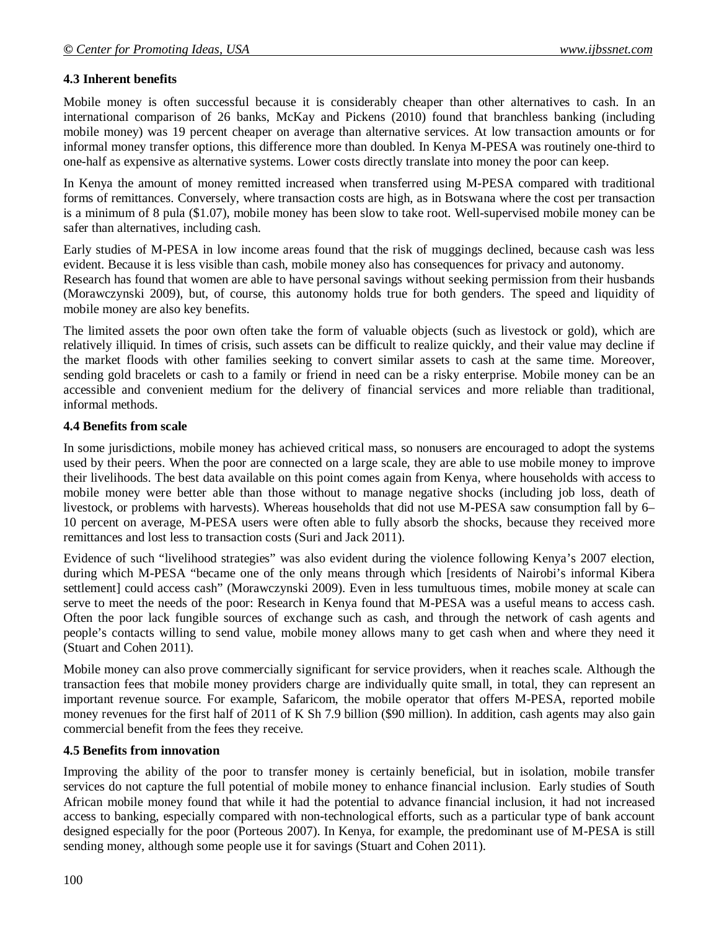#### **4.3 Inherent benefits**

Mobile money is often successful because it is considerably cheaper than other alternatives to cash. In an international comparison of 26 banks, McKay and Pickens (2010) found that branchless banking (including mobile money) was 19 percent cheaper on average than alternative services. At low transaction amounts or for informal money transfer options, this difference more than doubled. In Kenya M-PESA was routinely one-third to one-half as expensive as alternative systems. Lower costs directly translate into money the poor can keep.

In Kenya the amount of money remitted increased when transferred using M-PESA compared with traditional forms of remittances. Conversely, where transaction costs are high, as in Botswana where the cost per transaction is a minimum of 8 pula (\$1.07), mobile money has been slow to take root. Well-supervised mobile money can be safer than alternatives, including cash.

Early studies of M-PESA in low income areas found that the risk of muggings declined, because cash was less evident. Because it is less visible than cash, mobile money also has consequences for privacy and autonomy. Research has found that women are able to have personal savings without seeking permission from their husbands (Morawczynski 2009), but, of course, this autonomy holds true for both genders. The speed and liquidity of mobile money are also key benefits.

The limited assets the poor own often take the form of valuable objects (such as livestock or gold), which are relatively illiquid. In times of crisis, such assets can be difficult to realize quickly, and their value may decline if the market floods with other families seeking to convert similar assets to cash at the same time. Moreover, sending gold bracelets or cash to a family or friend in need can be a risky enterprise. Mobile money can be an accessible and convenient medium for the delivery of financial services and more reliable than traditional, informal methods.

#### **4.4 Benefits from scale**

In some jurisdictions, mobile money has achieved critical mass, so nonusers are encouraged to adopt the systems used by their peers. When the poor are connected on a large scale, they are able to use mobile money to improve their livelihoods. The best data available on this point comes again from Kenya, where households with access to mobile money were better able than those without to manage negative shocks (including job loss, death of livestock, or problems with harvests). Whereas households that did not use M-PESA saw consumption fall by 6– 10 percent on average, M-PESA users were often able to fully absorb the shocks, because they received more remittances and lost less to transaction costs (Suri and Jack 2011).

Evidence of such "livelihood strategies" was also evident during the violence following Kenya's 2007 election, during which M-PESA "became one of the only means through which [residents of Nairobi's informal Kibera settlement] could access cash" (Morawczynski 2009). Even in less tumultuous times, mobile money at scale can serve to meet the needs of the poor: Research in Kenya found that M-PESA was a useful means to access cash. Often the poor lack fungible sources of exchange such as cash, and through the network of cash agents and people's contacts willing to send value, mobile money allows many to get cash when and where they need it (Stuart and Cohen 2011).

Mobile money can also prove commercially significant for service providers, when it reaches scale. Although the transaction fees that mobile money providers charge are individually quite small, in total, they can represent an important revenue source. For example, Safaricom, the mobile operator that offers M-PESA, reported mobile money revenues for the first half of 2011 of K Sh 7.9 billion (\$90 million). In addition, cash agents may also gain commercial benefit from the fees they receive.

#### **4.5 Benefits from innovation**

Improving the ability of the poor to transfer money is certainly beneficial, but in isolation, mobile transfer services do not capture the full potential of mobile money to enhance financial inclusion. Early studies of South African mobile money found that while it had the potential to advance financial inclusion, it had not increased access to banking, especially compared with non-technological efforts, such as a particular type of bank account designed especially for the poor (Porteous 2007). In Kenya, for example, the predominant use of M-PESA is still sending money, although some people use it for savings (Stuart and Cohen 2011).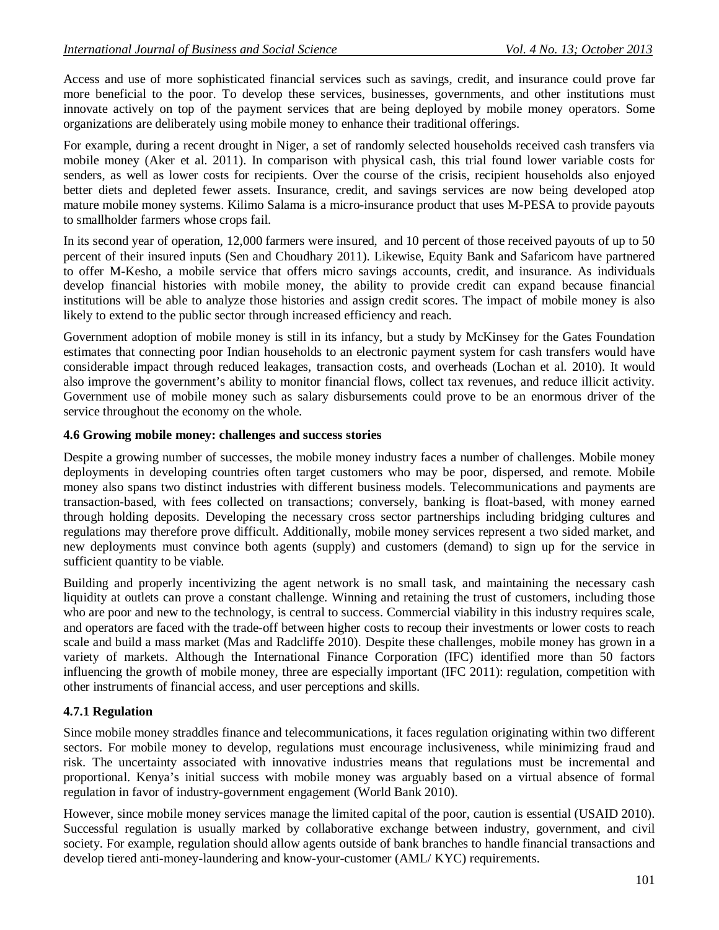Access and use of more sophisticated financial services such as savings, credit, and insurance could prove far more beneficial to the poor. To develop these services, businesses, governments, and other institutions must innovate actively on top of the payment services that are being deployed by mobile money operators. Some organizations are deliberately using mobile money to enhance their traditional offerings.

For example, during a recent drought in Niger, a set of randomly selected households received cash transfers via mobile money (Aker et al. 2011). In comparison with physical cash, this trial found lower variable costs for senders, as well as lower costs for recipients. Over the course of the crisis, recipient households also enjoyed better diets and depleted fewer assets. Insurance, credit, and savings services are now being developed atop mature mobile money systems. Kilimo Salama is a micro-insurance product that uses M-PESA to provide payouts to smallholder farmers whose crops fail.

In its second year of operation, 12,000 farmers were insured, and 10 percent of those received payouts of up to 50 percent of their insured inputs (Sen and Choudhary 2011). Likewise, Equity Bank and Safaricom have partnered to offer M-Kesho, a mobile service that offers micro savings accounts, credit, and insurance. As individuals develop financial histories with mobile money, the ability to provide credit can expand because financial institutions will be able to analyze those histories and assign credit scores. The impact of mobile money is also likely to extend to the public sector through increased efficiency and reach.

Government adoption of mobile money is still in its infancy, but a study by McKinsey for the Gates Foundation estimates that connecting poor Indian households to an electronic payment system for cash transfers would have considerable impact through reduced leakages, transaction costs, and overheads (Lochan et al. 2010). It would also improve the government's ability to monitor financial flows, collect tax revenues, and reduce illicit activity. Government use of mobile money such as salary disbursements could prove to be an enormous driver of the service throughout the economy on the whole.

#### **4.6 Growing mobile money: challenges and success stories**

Despite a growing number of successes, the mobile money industry faces a number of challenges. Mobile money deployments in developing countries often target customers who may be poor, dispersed, and remote. Mobile money also spans two distinct industries with different business models. Telecommunications and payments are transaction-based, with fees collected on transactions; conversely, banking is float-based, with money earned through holding deposits. Developing the necessary cross sector partnerships including bridging cultures and regulations may therefore prove difficult. Additionally, mobile money services represent a two sided market, and new deployments must convince both agents (supply) and customers (demand) to sign up for the service in sufficient quantity to be viable.

Building and properly incentivizing the agent network is no small task, and maintaining the necessary cash liquidity at outlets can prove a constant challenge. Winning and retaining the trust of customers, including those who are poor and new to the technology, is central to success. Commercial viability in this industry requires scale, and operators are faced with the trade-off between higher costs to recoup their investments or lower costs to reach scale and build a mass market (Mas and Radcliffe 2010). Despite these challenges, mobile money has grown in a variety of markets. Although the International Finance Corporation (IFC) identified more than 50 factors influencing the growth of mobile money, three are especially important (IFC 2011): regulation, competition with other instruments of financial access, and user perceptions and skills.

## **4.7.1 Regulation**

Since mobile money straddles finance and telecommunications, it faces regulation originating within two different sectors. For mobile money to develop, regulations must encourage inclusiveness, while minimizing fraud and risk. The uncertainty associated with innovative industries means that regulations must be incremental and proportional. Kenya's initial success with mobile money was arguably based on a virtual absence of formal regulation in favor of industry-government engagement (World Bank 2010).

However, since mobile money services manage the limited capital of the poor, caution is essential (USAID 2010). Successful regulation is usually marked by collaborative exchange between industry, government, and civil society. For example, regulation should allow agents outside of bank branches to handle financial transactions and develop tiered anti-money-laundering and know-your-customer (AML/ KYC) requirements.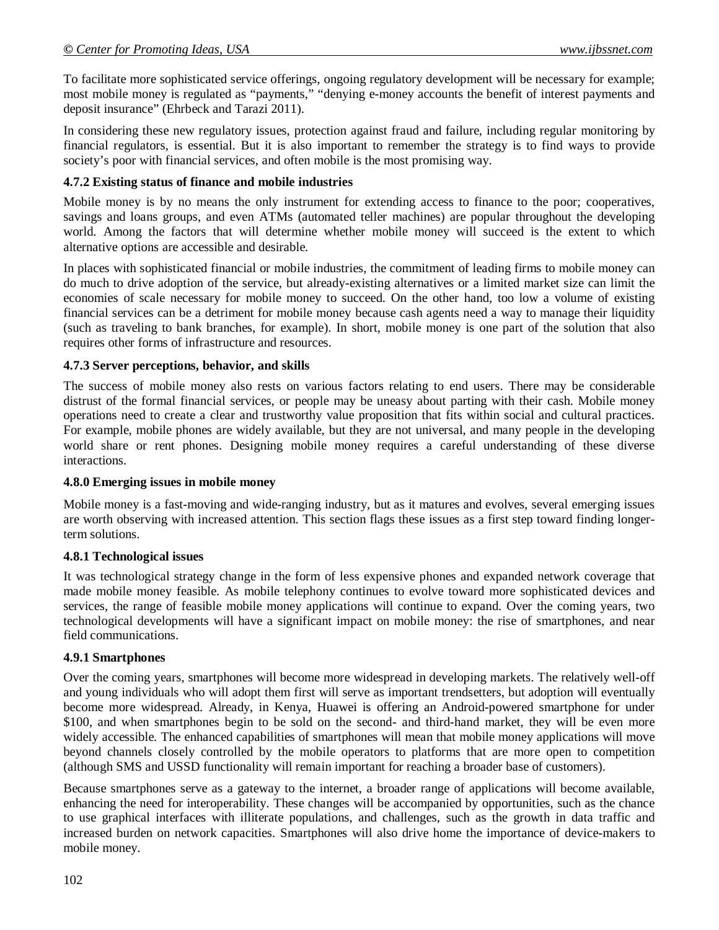To facilitate more sophisticated service offerings, ongoing regulatory development will be necessary for example; most mobile money is regulated as "payments," "denying e-money accounts the benefit of interest payments and deposit insurance" (Ehrbeck and Tarazi 2011).

In considering these new regulatory issues, protection against fraud and failure, including regular monitoring by financial regulators, is essential. But it is also important to remember the strategy is to find ways to provide society's poor with financial services, and often mobile is the most promising way.

#### **4.7.2 Existing status of finance and mobile industries**

Mobile money is by no means the only instrument for extending access to finance to the poor; cooperatives, savings and loans groups, and even ATMs (automated teller machines) are popular throughout the developing world. Among the factors that will determine whether mobile money will succeed is the extent to which alternative options are accessible and desirable.

In places with sophisticated financial or mobile industries, the commitment of leading firms to mobile money can do much to drive adoption of the service, but already-existing alternatives or a limited market size can limit the economies of scale necessary for mobile money to succeed. On the other hand, too low a volume of existing financial services can be a detriment for mobile money because cash agents need a way to manage their liquidity (such as traveling to bank branches, for example). In short, mobile money is one part of the solution that also requires other forms of infrastructure and resources.

#### **4.7.3 Server perceptions, behavior, and skills**

The success of mobile money also rests on various factors relating to end users. There may be considerable distrust of the formal financial services, or people may be uneasy about parting with their cash. Mobile money operations need to create a clear and trustworthy value proposition that fits within social and cultural practices. For example, mobile phones are widely available, but they are not universal, and many people in the developing world share or rent phones. Designing mobile money requires a careful understanding of these diverse interactions.

#### **4.8.0 Emerging issues in mobile money**

Mobile money is a fast-moving and wide-ranging industry, but as it matures and evolves, several emerging issues are worth observing with increased attention. This section flags these issues as a first step toward finding longerterm solutions.

#### **4.8.1 Technological issues**

It was technological strategy change in the form of less expensive phones and expanded network coverage that made mobile money feasible. As mobile telephony continues to evolve toward more sophisticated devices and services, the range of feasible mobile money applications will continue to expand. Over the coming years, two technological developments will have a significant impact on mobile money: the rise of smartphones, and near field communications.

#### **4.9.1 Smartphones**

Over the coming years, smartphones will become more widespread in developing markets. The relatively well-off and young individuals who will adopt them first will serve as important trendsetters, but adoption will eventually become more widespread. Already, in Kenya, Huawei is offering an Android-powered smartphone for under \$100, and when smartphones begin to be sold on the second- and third-hand market, they will be even more widely accessible. The enhanced capabilities of smartphones will mean that mobile money applications will move beyond channels closely controlled by the mobile operators to platforms that are more open to competition (although SMS and USSD functionality will remain important for reaching a broader base of customers).

Because smartphones serve as a gateway to the internet, a broader range of applications will become available, enhancing the need for interoperability. These changes will be accompanied by opportunities, such as the chance to use graphical interfaces with illiterate populations, and challenges, such as the growth in data traffic and increased burden on network capacities. Smartphones will also drive home the importance of device-makers to mobile money.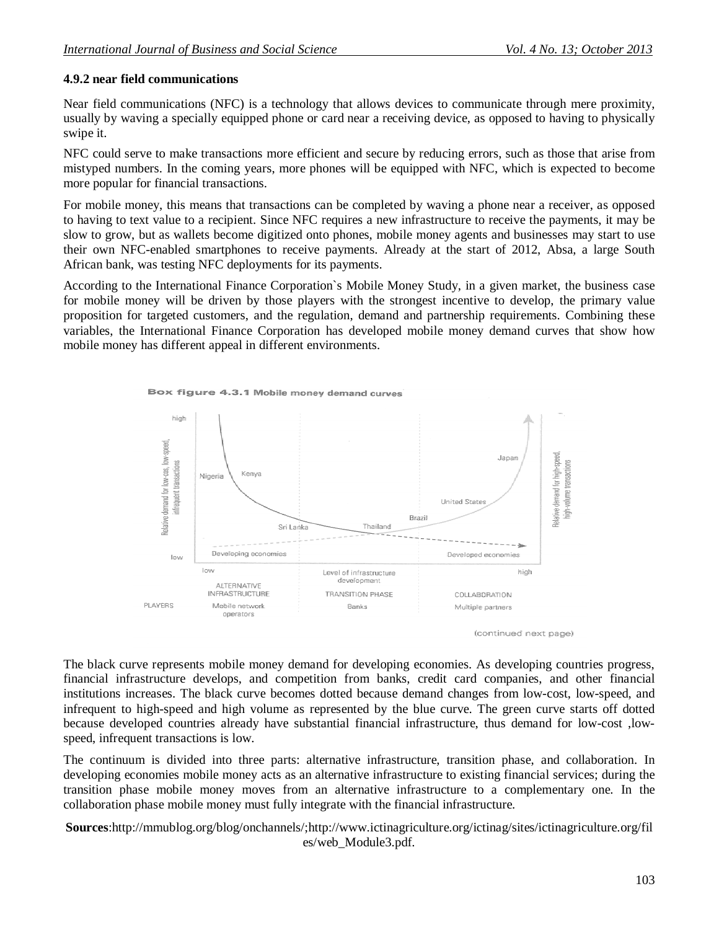## **4.9.2 near field communications**

Near field communications (NFC) is a technology that allows devices to communicate through mere proximity, usually by waving a specially equipped phone or card near a receiving device, as opposed to having to physically swipe it.

NFC could serve to make transactions more efficient and secure by reducing errors, such as those that arise from mistyped numbers. In the coming years, more phones will be equipped with NFC, which is expected to become more popular for financial transactions.

For mobile money, this means that transactions can be completed by waving a phone near a receiver, as opposed to having to text value to a recipient. Since NFC requires a new infrastructure to receive the payments, it may be slow to grow, but as wallets become digitized onto phones, mobile money agents and businesses may start to use their own NFC-enabled smartphones to receive payments. Already at the start of 2012, Absa, a large South African bank, was testing NFC deployments for its payments.

According to the International Finance Corporation`s Mobile Money Study, in a given market, the business case for mobile money will be driven by those players with the strongest incentive to develop, the primary value proposition for targeted customers, and the regulation, demand and partnership requirements. Combining these variables, the International Finance Corporation has developed mobile money demand curves that show how mobile money has different appeal in different environments.





(continued next page)

The black curve represents mobile money demand for developing economies. As developing countries progress, financial infrastructure develops, and competition from banks, credit card companies, and other financial institutions increases. The black curve becomes dotted because demand changes from low-cost, low-speed, and infrequent to high-speed and high volume as represented by the blue curve. The green curve starts off dotted because developed countries already have substantial financial infrastructure, thus demand for low-cost ,lowspeed, infrequent transactions is low.

The continuum is divided into three parts: alternative infrastructure, transition phase, and collaboration. In developing economies mobile money acts as an alternative infrastructure to existing financial services; during the transition phase mobile money moves from an alternative infrastructure to a complementary one. In the collaboration phase mobile money must fully integrate with the financial infrastructure.

**Sources**:http://mmublog.org/blog/onchannels/;http://www.ictinagriculture.org/ictinag/sites/ictinagriculture.org/fil es/web\_Module3.pdf.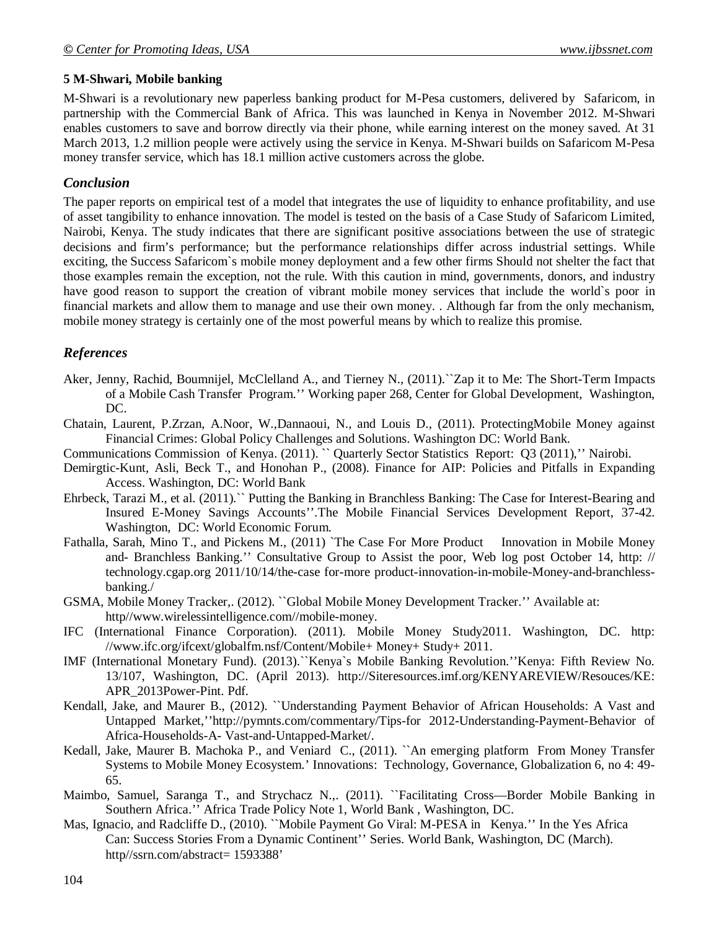#### **5 M-Shwari, Mobile banking**

M-Shwari is a revolutionary new paperless banking product for M-Pesa customers, delivered by Safaricom, in partnership with the Commercial Bank of Africa. This was launched in Kenya in November 2012. M-Shwari enables customers to save and borrow directly via their phone, while earning interest on the money saved. At 31 March 2013, 1.2 million people were actively using the service in Kenya. M-Shwari builds on Safaricom M-Pesa money transfer service, which has 18.1 million active customers across the globe.

#### *Conclusion*

The paper reports on empirical test of a model that integrates the use of liquidity to enhance profitability, and use of asset tangibility to enhance innovation. The model is tested on the basis of a Case Study of Safaricom Limited, Nairobi, Kenya. The study indicates that there are significant positive associations between the use of strategic decisions and firm's performance; but the performance relationships differ across industrial settings. While exciting, the Success Safaricom`s mobile money deployment and a few other firms Should not shelter the fact that those examples remain the exception, not the rule. With this caution in mind, governments, donors, and industry have good reason to support the creation of vibrant mobile money services that include the world`s poor in financial markets and allow them to manage and use their own money. . Although far from the only mechanism, mobile money strategy is certainly one of the most powerful means by which to realize this promise.

## *References*

- Aker, Jenny, Rachid, Boumnijel, McClelland A., and Tierney N., (2011).``Zap it to Me: The Short-Term Impacts of a Mobile Cash Transfer Program.'' Working paper 268, Center for Global Development, Washington, DC.
- Chatain, Laurent, P.Zrzan, A.Noor, W.,Dannaoui, N., and Louis D., (2011). ProtectingMobile Money against Financial Crimes: Global Policy Challenges and Solutions. Washington DC: World Bank.
- Communications Commission of Kenya. (2011). "Quarterly Sector Statistics Report: Q3 (2011)," Nairobi.
- Demirgtic-Kunt, Asli, Beck T., and Honohan P., (2008). Finance for AIP: Policies and Pitfalls in Expanding Access. Washington, DC: World Bank
- Ehrbeck, Tarazi M., et al. (2011). Putting the Banking in Branchless Banking: The Case for Interest-Bearing and Insured E-Money Savings Accounts''.The Mobile Financial Services Development Report, 37-42. Washington, DC: World Economic Forum.
- Fathalla, Sarah, Mino T., and Pickens M., (2011) 'The Case For More Product Innovation in Mobile Money and- Branchless Banking.'' Consultative Group to Assist the poor, Web log post October 14, http: // technology.cgap.org 2011/10/14/the-case for-more product-innovation-in-mobile-Money-and-branchlessbanking./
- GSMA, Mobile Money Tracker,. (2012). ``Global Mobile Money Development Tracker.'' Available at: http//www.wirelessintelligence.com//mobile-money.
- IFC (International Finance Corporation). (2011). Mobile Money Study2011. Washington, DC. http: //www.ifc.org/ifcext/globalfm.nsf/Content/Mobile+ Money+ Study+ 2011.
- IMF (International Monetary Fund). (2013).``Kenya`s Mobile Banking Revolution.''Kenya: Fifth Review No. 13/107, Washington, DC. (April 2013). http://Siteresources.imf.org/KENYAREVIEW/Resouces/KE: APR\_2013Power-Pint. Pdf.
- Kendall, Jake, and Maurer B., (2012). ``Understanding Payment Behavior of African Households: A Vast and Untapped Market,''http://pymnts.com/commentary/Tips-for 2012-Understanding-Payment-Behavior of Africa-Households-A- Vast-and-Untapped-Market/.
- Kedall, Jake, Maurer B. Machoka P., and Veniard C., (2011). ``An emerging platform From Money Transfer Systems to Mobile Money Ecosystem.' Innovations: Technology, Governance, Globalization 6, no 4: 49- 65.
- Maimbo, Samuel, Saranga T., and Strychacz N.,. (2011). ``Facilitating Cross—Border Mobile Banking in Southern Africa.'' Africa Trade Policy Note 1, World Bank , Washington, DC.
- Mas, Ignacio, and Radcliffe D., (2010). ``Mobile Payment Go Viral: M-PESA in Kenya.'' In the Yes Africa Can: Success Stories From a Dynamic Continent'' Series. World Bank, Washington, DC (March). http//ssrn.com/abstract= 1593388'